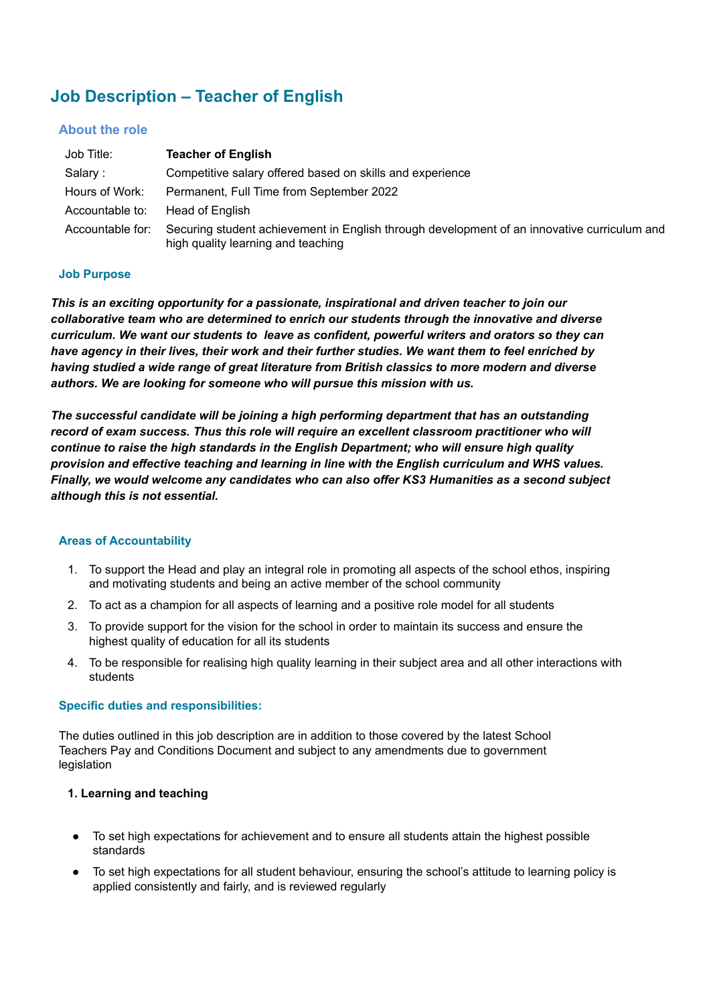# **Job Description – Teacher of English**

## **About the role**

| Job Title:       | <b>Teacher of English</b>                                                                                                         |
|------------------|-----------------------------------------------------------------------------------------------------------------------------------|
| Salary :         | Competitive salary offered based on skills and experience                                                                         |
| Hours of Work:   | Permanent, Full Time from September 2022                                                                                          |
| Accountable to:  | Head of English                                                                                                                   |
| Accountable for: | Securing student achievement in English through development of an innovative curriculum and<br>high quality learning and teaching |

#### **Job Purpose**

*This is an exciting opportunity for a passionate, inspirational and driven teacher to join our collaborative team who are determined to enrich our students through the innovative and diverse curriculum. We want our students to leave as confident, powerful writers and orators so they can have agency in their lives, their work and their further studies. We want them to feel enriched by having studied a wide range of great literature from British classics to more modern and diverse authors. We are looking for someone who will pursue this mission with us.*

*The successful candidate will be joining a high performing department that has an outstanding record of exam success. Thus this role will require an excellent classroom practitioner who will continue to raise the high standards in the English Department; who will ensure high quality provision and effective teaching and learning in line with the English curriculum and WHS values. Finally, we would welcome any candidates who can also offer KS3 Humanities as a second subject although this is not essential.*

## **Areas of Accountability**

- 1. To support the Head and play an integral role in promoting all aspects of the school ethos, inspiring and motivating students and being an active member of the school community
- 2. To act as a champion for all aspects of learning and a positive role model for all students
- 3. To provide support for the vision for the school in order to maintain its success and ensure the highest quality of education for all its students
- 4. To be responsible for realising high quality learning in their subject area and all other interactions with students

## **Specific duties and responsibilities:**

The duties outlined in this job description are in addition to those covered by the latest School Teachers Pay and Conditions Document and subject to any amendments due to government legislation

## **1. Learning and teaching**

- To set high expectations for achievement and to ensure all students attain the highest possible standards
- To set high expectations for all student behaviour, ensuring the school's attitude to learning policy is applied consistently and fairly, and is reviewed regularly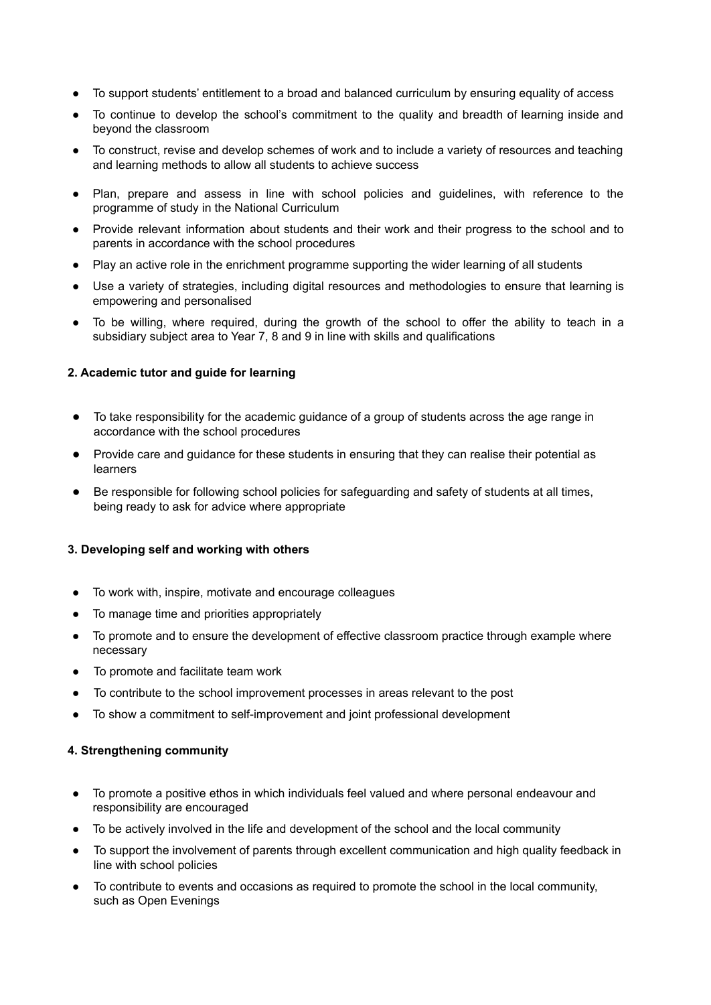- To support students' entitlement to a broad and balanced curriculum by ensuring equality of access
- To continue to develop the school's commitment to the quality and breadth of learning inside and beyond the classroom
- To construct, revise and develop schemes of work and to include a variety of resources and teaching and learning methods to allow all students to achieve success
- Plan, prepare and assess in line with school policies and guidelines, with reference to the programme of study in the National Curriculum
- Provide relevant information about students and their work and their progress to the school and to parents in accordance with the school procedures
- Play an active role in the enrichment programme supporting the wider learning of all students
- Use a variety of strategies, including digital resources and methodologies to ensure that learning is empowering and personalised
- To be willing, where required, during the growth of the school to offer the ability to teach in a subsidiary subject area to Year 7, 8 and 9 in line with skills and qualifications

### **2. Academic tutor and guide for learning**

- To take responsibility for the academic guidance of a group of students across the age range in accordance with the school procedures
- Provide care and guidance for these students in ensuring that they can realise their potential as learners
- Be responsible for following school policies for safeguarding and safety of students at all times, being ready to ask for advice where appropriate

#### **3. Developing self and working with others**

- To work with, inspire, motivate and encourage colleagues
- To manage time and priorities appropriately
- To promote and to ensure the development of effective classroom practice through example where necessary
- To promote and facilitate team work
- To contribute to the school improvement processes in areas relevant to the post
- To show a commitment to self-improvement and joint professional development

#### **4. Strengthening community**

- To promote a positive ethos in which individuals feel valued and where personal endeavour and responsibility are encouraged
- To be actively involved in the life and development of the school and the local community
- To support the involvement of parents through excellent communication and high quality feedback in line with school policies
- To contribute to events and occasions as required to promote the school in the local community, such as Open Evenings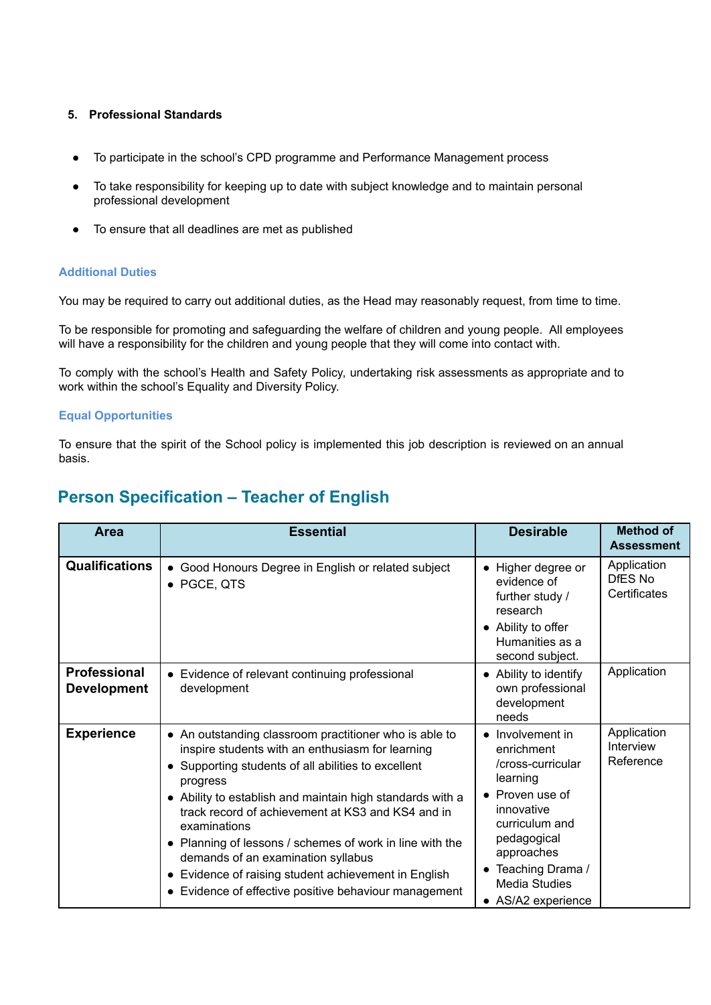## **5. Professional Standards**

- **●** To participate in the school's CPD programme and Performance Management process
- To take responsibility for keeping up to date with subject knowledge and to maintain personal professional development
- To ensure that all deadlines are met as published

#### **Additional Duties**

You may be required to carry out additional duties, as the Head may reasonably request, from time to time.

To be responsible for promoting and safeguarding the welfare of children and young people. All employees will have a responsibility for the children and young people that they will come into contact with.

To comply with the school's Health and Safety Policy, undertaking risk assessments as appropriate and to work within the school's Equality and Diversity Policy.

#### **Equal Opportunities**

To ensure that the spirit of the School policy is implemented this job description is reviewed on an annual basis.

## **Person Specification – Teacher of English**

| <b>Area</b>                               | <b>Essential</b>                                                                                                                                                                                                                                                                                                                                                                                                                                                                                                                            | <b>Desirable</b>                                                                                                                                                                                                                       | <b>Method of</b><br><b>Assessment</b>  |
|-------------------------------------------|---------------------------------------------------------------------------------------------------------------------------------------------------------------------------------------------------------------------------------------------------------------------------------------------------------------------------------------------------------------------------------------------------------------------------------------------------------------------------------------------------------------------------------------------|----------------------------------------------------------------------------------------------------------------------------------------------------------------------------------------------------------------------------------------|----------------------------------------|
| <b>Qualifications</b>                     | • Good Honours Degree in English or related subject<br>• PGCE, QTS                                                                                                                                                                                                                                                                                                                                                                                                                                                                          | • Higher degree or<br>evidence of<br>further study /<br>research<br>• Ability to offer<br>Humanities as a<br>second subject.                                                                                                           | Application<br>DfES No<br>Certificates |
| <b>Professional</b><br><b>Development</b> | • Evidence of relevant continuing professional<br>development                                                                                                                                                                                                                                                                                                                                                                                                                                                                               | • Ability to identify<br>own professional<br>development<br>needs                                                                                                                                                                      | Application                            |
| <b>Experience</b>                         | • An outstanding classroom practitioner who is able to<br>inspire students with an enthusiasm for learning<br>• Supporting students of all abilities to excellent<br>progress<br>• Ability to establish and maintain high standards with a<br>track record of achievement at KS3 and KS4 and in<br>examinations<br>• Planning of lessons / schemes of work in line with the<br>demands of an examination syllabus<br>Evidence of raising student achievement in English<br>$\bullet$<br>Evidence of effective positive behaviour management | • Involvement in<br>enrichment<br>/cross-curricular<br>learning<br>$\bullet$ Proven use of<br>innovative<br>curriculum and<br>pedagogical<br>approaches<br>Teaching Drama /<br>$\bullet$<br><b>Media Studies</b><br>• AS/A2 experience | Application<br>Interview<br>Reference  |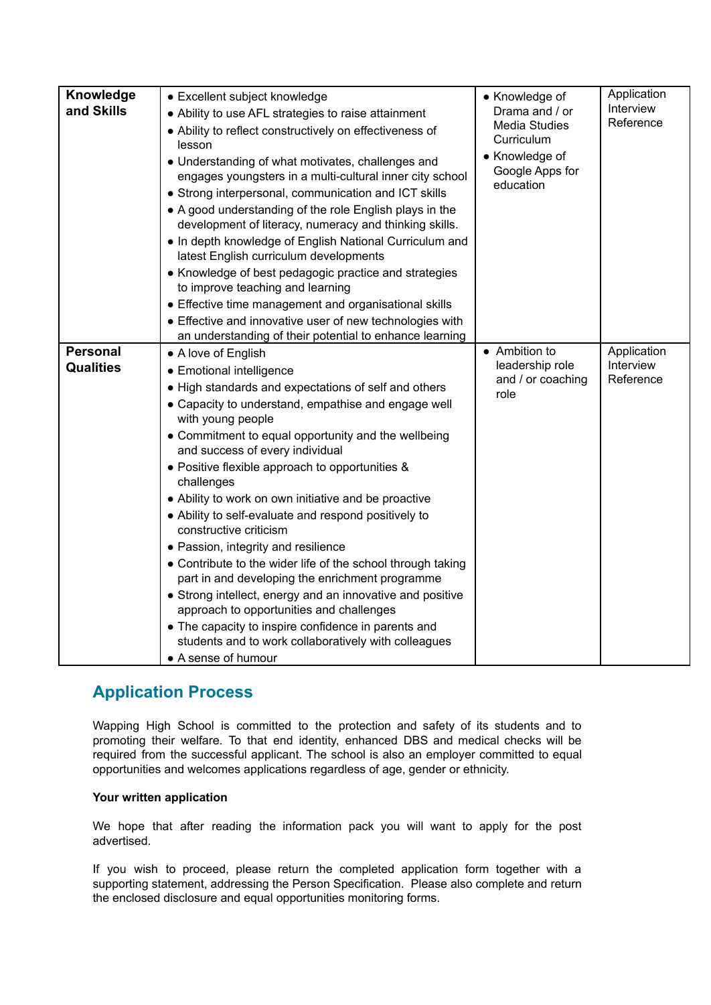| Knowledge<br>and Skills             | • Excellent subject knowledge<br>• Ability to use AFL strategies to raise attainment<br>• Ability to reflect constructively on effectiveness of<br>lesson<br>• Understanding of what motivates, challenges and<br>engages youngsters in a multi-cultural inner city school<br>• Strong interpersonal, communication and ICT skills<br>• A good understanding of the role English plays in the<br>development of literacy, numeracy and thinking skills.<br>. In depth knowledge of English National Curriculum and<br>latest English curriculum developments<br>• Knowledge of best pedagogic practice and strategies<br>to improve teaching and learning<br>• Effective time management and organisational skills<br>• Effective and innovative user of new technologies with<br>an understanding of their potential to enhance learning                                                        | • Knowledge of<br>Drama and / or<br><b>Media Studies</b><br>Curriculum<br>• Knowledge of<br>Google Apps for<br>education | Application<br>Interview<br>Reference |
|-------------------------------------|--------------------------------------------------------------------------------------------------------------------------------------------------------------------------------------------------------------------------------------------------------------------------------------------------------------------------------------------------------------------------------------------------------------------------------------------------------------------------------------------------------------------------------------------------------------------------------------------------------------------------------------------------------------------------------------------------------------------------------------------------------------------------------------------------------------------------------------------------------------------------------------------------|--------------------------------------------------------------------------------------------------------------------------|---------------------------------------|
| <b>Personal</b><br><b>Qualities</b> | • A love of English<br>• Emotional intelligence<br>• High standards and expectations of self and others<br>• Capacity to understand, empathise and engage well<br>with young people<br>• Commitment to equal opportunity and the wellbeing<br>and success of every individual<br>• Positive flexible approach to opportunities &<br>challenges<br>• Ability to work on own initiative and be proactive<br>• Ability to self-evaluate and respond positively to<br>constructive criticism<br>• Passion, integrity and resilience<br>• Contribute to the wider life of the school through taking<br>part in and developing the enrichment programme<br>• Strong intellect, energy and an innovative and positive<br>approach to opportunities and challenges<br>• The capacity to inspire confidence in parents and<br>students and to work collaboratively with colleagues<br>• A sense of humour | • Ambition to<br>leadership role<br>and / or coaching<br>role                                                            | Application<br>Interview<br>Reference |

## **Application Process**

Wapping High School is committed to the protection and safety of its students and to promoting their welfare. To that end identity, enhanced DBS and medical checks will be required from the successful applicant. The school is also an employer committed to equal opportunities and welcomes applications regardless of age, gender or ethnicity.

## **Your written application**

We hope that after reading the information pack you will want to apply for the post advertised.

If you wish to proceed, please return the completed application form together with a supporting statement, addressing the Person Specification. Please also complete and return the enclosed disclosure and equal opportunities monitoring forms.